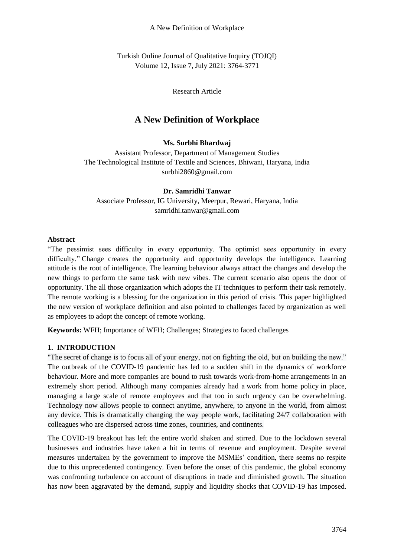Turkish Online Journal of Qualitative Inquiry (TOJQI) Volume 12, Issue 7, July 2021: 3764-3771

Research Article

# **A New Definition of Workplace**

# **Ms. Surbhi Bhardwaj**

Assistant Professor, Department of Management Studies The Technological Institute of Textile and Sciences, Bhiwani, Haryana, India surbhi2860@gmail.com

### **Dr. Samridhi Tanwar**

Associate Professor, IG University, Meerpur, Rewari, Haryana, India samridhi.tanwar@gmail.com

## **Abstract**

"The pessimist sees difficulty in every opportunity. The optimist sees opportunity in every difficulty." Change creates the opportunity and opportunity develops the intelligence. Learning attitude is the root of intelligence. The learning behaviour always attract the changes and develop the new things to perform the same task with new vibes. The current scenario also opens the door of opportunity. The all those organization which adopts the IT techniques to perform their task remotely. The remote working is a blessing for the organization in this period of crisis. This paper highlighted the new version of workplace definition and also pointed to challenges faced by organization as well as employees to adopt the concept of remote working.

**Keywords:** WFH; Importance of WFH; Challenges; Strategies to faced challenges

# **1. INTRODUCTION**

"The secret of change is to focus all of your energy, not on fighting the old, but on building the new." The outbreak of the COVID-19 pandemic has led to a sudden shift in the dynamics of workforce behaviour. More and more companies are bound to rush towards [work-from-home](https://blog.vantagecircle.com/work-from-home-tips/) arrangements in an extremely short period. Although many companies already had a work from home policy in place, managing a large scale of remote employees and that too in such urgency can be overwhelming. Technology now allows people to connect anytime, anywhere, to anyone in the world, from almost any device. This is dramatically changing the way people work, facilitating 24/7 collaboration with colleagues who are dispersed across time zones, countries, and continents.

The COVID-19 breakout has left the entire world shaken and stirred. Due to the lockdown several businesses and industries have taken a hit in terms of revenue and employment. Despite several measures undertaken by the government to improve the MSMEs' condition, there seems no respite due to this unprecedented contingency. Even before the onset of this pandemic, the global economy was confronting turbulence on account of disruptions in trade and diminished growth. The situation has now been aggravated by the demand, supply and liquidity shocks that COVID-19 has imposed.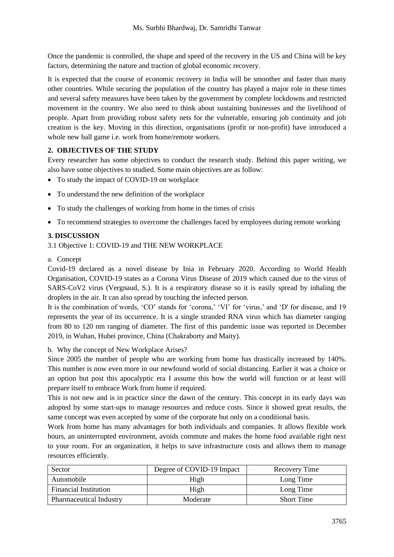Once the pandemic is controlled, the shape and speed of the recovery in the US and China will be key factors, determining the nature and traction of global economic recovery.

It is expected that the course of economic recovery in India will be smoother and faster than many other countries. While securing the population of the country has played a major role in these times and several safety measures have been taken by the government by complete lockdowns and restricted movement in the country. We also need to think about sustaining businesses and the livelihood of people. Apart from providing robust safety nets for the vulnerable, ensuring job continuity and job creation is the key. Moving in this direction, organisations (profit or non-profit) have introduced a whole new ball game *i.e.* work from home/remote workers.

## **2. OBJECTIVES OF THE STUDY**

Every researcher has some objectives to conduct the research study. Behind this paper writing, we also have some objectives to studied. Some main objectives are as follow:

- To study the impact of COVID-19 on workplace
- To understand the new definition of the workplace
- To study the challenges of working from home in the times of crisis
- To recommend strategies to overcome the challenges faced by employees during remote working

## **3. DISCUSSION**

3.1 Objective 1: COVID-19 and THE NEW WORKPLACE

### a. Concept

Covid-19 declared as a novel disease by Inia in February 2020. According to World Health Organisation, COVID-19 states as a Corona Virus Disease of 2019 which caused due to the virus of SARS-CoV2 virus (Vergnaud, S.). It is a respiratory disease so it is easily spread by inhaling the droplets in the air. It can also spread by touching the infected person.

It is the combination of words, 'CO' stands for 'corona,' 'VI' for 'virus,' and 'D' for disease, and 19 represents the year of its occurrence. It is a single stranded RNA virus which has diameter ranging from 80 to 120 nm ranging of diameter. The first of this pandemic issue was reported in December 2019, in Wuhan, Hubei province, China (Chakraborty and Maity).

### b. Why the concept of New Workplace Arises?

Since 2005 the number of people who are working from home has drastically increased by 140%. This number is now even more in our newfound world of social distancing. Earlier it was a choice or an option but post this apocalyptic era I assume this how the world will function or at least will prepare itself to embrace Work from home if required.

This is not new and is in practice since the dawn of the century. This concept in its early days was adopted by some start-ups to manage resources and reduce costs. Since it showed great results, the same concept was even accepted by some of the corporate but only on a conditional basis.

Work from home has many advantages for both individuals and companies. It allows flexible work hours, an uninterrupted environment, avoids commute and makes the home food available right next to your room. For an organization, it helps to save infrastructure costs and allows them to manage resources efficiently.

| Sector                         | Degree of COVID-19 Impact | Recovery Time     |
|--------------------------------|---------------------------|-------------------|
| Automobile                     | High                      | Long Time         |
| <b>Financial Institution</b>   | High                      | Long Time         |
| <b>Pharmaceutical Industry</b> | Moderate                  | <b>Short Time</b> |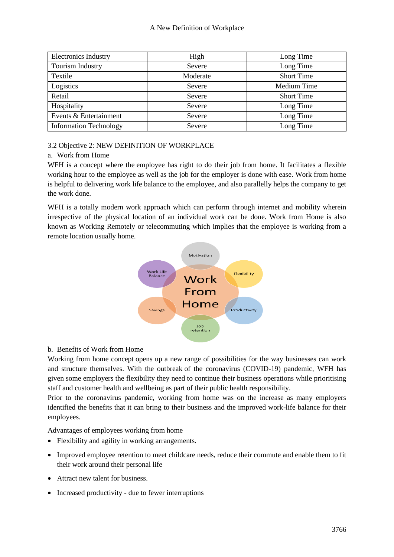#### A New Definition of Workplace

| <b>Electronics Industry</b>   | High     | Long Time         |
|-------------------------------|----------|-------------------|
| Tourism Industry              | Severe   | Long Time         |
| Textile                       | Moderate | <b>Short Time</b> |
| Logistics                     | Severe   | Medium Time       |
| Retail                        | Severe   | <b>Short Time</b> |
| Hospitality                   | Severe   | Long Time         |
| Events & Entertainment        | Severe   | Long Time         |
| <b>Information Technology</b> | Severe   | Long Time         |

### 3.2 Objective 2: NEW DEFINITION OF WORKPLACE

## a. Work from Home

WFH is a concept where the employee has right to do their job from home. It facilitates a flexible working hour to the employee as well as the job for the employer is done with ease. Work from home is helpful to delivering work life balance to the employee, and also parallelly helps the company to get the work done.

WFH is a totally modern work approach which can perform through internet and mobility wherein irrespective of the physical location of an individual work can be done. Work from Home is also known as Working Remotely or telecommuting which implies that the employee is working from a remote location usually home.



# b. Benefits of Work from Home

Working from home concept opens up a new range of possibilities for the way businesses can work and structure themselves. With the outbreak of the coronavirus (COVID-19) pandemic, WFH has given some employers the flexibility they need to continue their business operations while prioritising staff and customer health and wellbeing as part of their public health responsibility.

Prior to the coronavirus pandemic, working from home was on the increase as many employers identified the benefits that it can bring to their business and the improved work-life balance for their employees.

Advantages of employees working from home

- Flexibility and agility in working arrangements.
- Improved employee retention to meet childcare needs, reduce their commute and enable them to fit their work around their personal life
- Attract new talent for business.
- Increased productivity due to fewer interruptions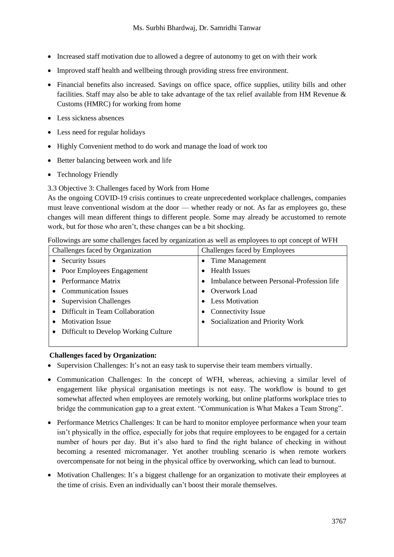- Increased staff motivation due to allowed a degree of autonomy to get on with their work
- Improved staff health and wellbeing through providing stress free environment.
- Financial benefits also increased. Savings on office space, office supplies, utility bills and other facilities. Staff may also be able to take advantage of the tax relief available from HM Revenue & Customs (HMRC) for working from home
- Less sickness absences
- Less need for regular holidays
- Highly Convenient method to do work and manage the load of work too
- Better balancing between work and life
- Technology Friendly
- 3.3 Objective 3: Challenges faced by Work from Home

As the ongoing COVID-19 crisis continues to create unprecedented workplace challenges, companies must leave conventional wisdom at the door — whether ready or not. As far as employees go, these changes will mean different things to different people. Some may already be accustomed to remote work, but for those who aren't, these changes can be a bit shocking.

| Followings are some challenges faced by organization as well as employees to opt concept of WFH |                                            |  |
|-------------------------------------------------------------------------------------------------|--------------------------------------------|--|
| Challenges faced by Organization                                                                | Challenges faced by Employees              |  |
| <b>Security Issues</b><br>$\bullet$                                                             | • Time Management                          |  |
| • Poor Employees Engagement                                                                     | <b>Health Issues</b>                       |  |
| • Performance Matrix                                                                            | Imbalance between Personal-Profession life |  |
| <b>Communication Issues</b><br>$\bullet$                                                        | • Overwork Load                            |  |
| <b>Supervision Challenges</b><br>$\bullet$                                                      | <b>Less Motivation</b>                     |  |
| Difficult in Team Collaboration                                                                 | <b>Connectivity Issue</b>                  |  |
| <b>Motivation Issue</b><br>$\bullet$                                                            | Socialization and Priority Work            |  |
|                                                                                                 |                                            |  |

Followings are some challenges faced by organization as well as employees to opt concept of WFH

# **Challenges faced by Organization:**

• Difficult to Develop Working Culture

- Supervision Challenges: It's not an easy task to supervise their team members virtually.
- Communication Challenges: In the concept of WFH, whereas, achieving a similar level of engagement like physical organisation meetings is not easy. The workflow is bound to get somewhat affected when employees are remotely working, but online platforms workplace tries to bridge the communication gap to a great extent. "Communication is What Makes a Team Strong".
- Performance Metrics Challenges: It can be hard to monitor employee performance when your team isn't physically in the office, especially for jobs that require employees to be engaged for a certain number of hours per day. But it's also hard to find the right balance of checking in without becoming a resented micromanager. Yet another troubling scenario is when remote workers overcompensate for not being in the physical office by overworking, which can lead to burnout.
- Motivation Challenges: It's a biggest challenge for an organization to motivate their employees at the time of crisis. Even an individually can't boost their morale themselves.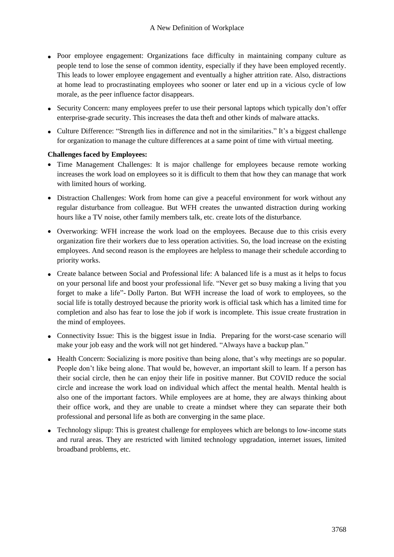- Poor employee engagement: Organizations face difficulty in maintaining company culture as people tend to lose the sense of common identity, especially if they have been employed recently. This leads to lower employee engagement and eventually a higher attrition rate. Also, distractions at home lead to procrastinating employees who sooner or later end up in a vicious cycle of low morale, as the peer influence factor disappears.
- Security Concern: many employees prefer to use their personal laptops which typically don't offer enterprise-grade security. This increases the data theft and other kinds of malware attacks.
- Culture Difference: "Strength lies in difference and not in the similarities." It's a biggest challenge for organization to manage the culture differences at a same point of time with virtual meeting.

### **Challenges faced by Employees:**

- Time Management Challenges: It is major challenge for employees because remote working increases the work load on employees so it is difficult to them that how they can manage that work with limited hours of working.
- Distraction Challenges: Work from home can give a peaceful environment for work without any regular disturbance from colleague. But WFH creates the unwanted distraction during working hours like a TV noise, other family members talk, etc. create lots of the disturbance.
- Overworking: WFH increase the work load on the employees. Because due to this crisis every organization fire their workers due to less operation activities. So, the load increase on the existing employees. And second reason is the employees are helpless to manage their schedule according to priority works.
- Create balance between Social and Professional life: A balanced life is a must as it helps to focus on your personal life and boost your professional life. "Never get so busy making a living that you forget to make a life"- Dolly Parton. But WFH increase the load of work to employees, so the social life is totally destroyed because the priority work is official task which has a limited time for completion and also has fear to lose the job if work is incomplete. This issue create frustration in the mind of employees.
- Connectivity Issue: This is the biggest issue in India. Preparing for the worst-case scenario will make your job easy and the work will not get hindered. "Always have a backup plan."
- Health Concern: Socializing is more positive than being alone, that's why meetings are so popular. People don't like being alone. That would be, however, an important skill to learn. If a person has their social circle, then he can enjoy their life in positive manner. But COVID reduce the social circle and increase the work load on individual which affect the mental health. Mental health is also one of the important factors. While employees are at home, they are always thinking about their office work, and they are unable to create a mindset where they can separate their both professional and personal life as both are converging in the same place.
- Technology slipup: This is greatest challenge for employees which are belongs to low-income stats and rural areas. They are restricted with limited technology upgradation, internet issues, limited broadband problems, etc.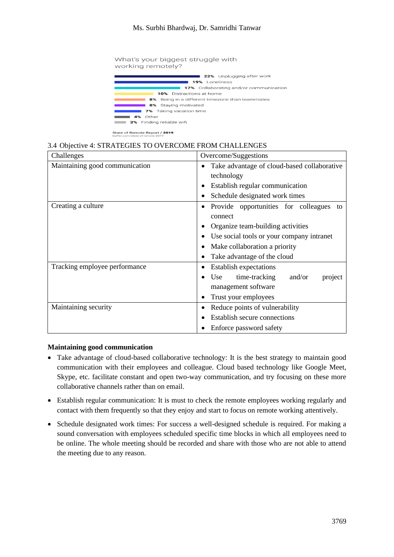### Ms. Surbhi Bhardwaj, Dr. Samridhi Tanwar



#### 3.4 Objective 4: STRATEGIES TO OVERCOME FROM CHALLENGES

| Challenges                     | Overcome/Suggestions                        |  |
|--------------------------------|---------------------------------------------|--|
| Maintaining good communication | Take advantage of cloud-based collaborative |  |
|                                | technology                                  |  |
|                                | Establish regular communication             |  |
|                                | Schedule designated work times              |  |
| Creating a culture             | Provide opportunities for colleagues<br>to  |  |
|                                | connect                                     |  |
|                                | Organize team-building activities           |  |
|                                | Use social tools or your company intranet   |  |
|                                | Make collaboration a priority               |  |
|                                | Take advantage of the cloud                 |  |
| Tracking employee performance  | Establish expectations                      |  |
|                                | time-tracking<br>Use<br>and/or<br>project   |  |
|                                | management software                         |  |
|                                | Trust your employees                        |  |
| Maintaining security           | Reduce points of vulnerability              |  |
|                                | Establish secure connections                |  |
|                                | Enforce password safety                     |  |

#### **Maintaining good communication**

- Take advantage of cloud-based collaborative technology: It is the best strategy to maintain good communication with their employees and colleague. Cloud based technology like Google Meet, Skype, etc. facilitate constant and open two-way communication, and try focusing on these more collaborative channels rather than on email.
- Establish regular communication: It is must to check the remote employees working regularly and contact with them frequently so that they enjoy and start to focus on remote working attentively.
- Schedule designated work times: For success a well-designed schedule is required. For making a sound conversation with employees scheduled specific time blocks in which all employees need to be online. The whole meeting should be recorded and share with those who are not able to attend the meeting due to any reason.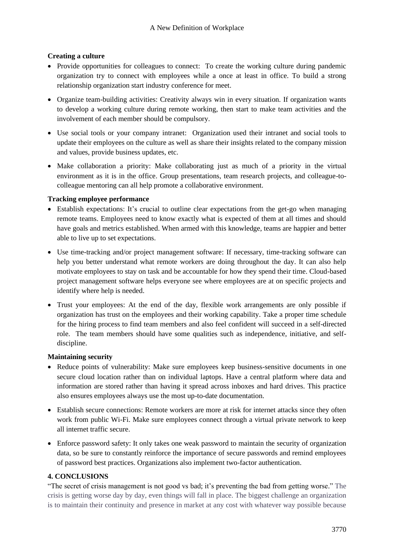## **Creating a culture**

- Provide opportunities for colleagues to connect: To create the working culture during pandemic organization try to connect with employees while a once at least in office. To build a strong relationship organization start industry conference for meet.
- Organize team-building activities: Creativity always win in every situation. If organization wants to develop a working culture during remote working, then start to make team activities and the involvement of each member should be compulsory.
- Use social tools or your company intranet: Organization used their intranet and social tools to update their employees on the culture as well as share their insights related to the company mission and values, provide business updates, etc.
- Make collaboration a priority: Make collaborating just as much of a priority in the virtual environment as it is in the office. Group presentations, team research projects, and colleague-tocolleague mentoring can all help promote a collaborative environment.

### **Tracking employee performance**

- Establish expectations: It's crucial to outline clear expectations from the get-go when managing remote teams. Employees need to know exactly what is expected of them at all times and should have goals and metrics established. When armed with this knowledge, teams are happier and better able to live up to set expectations.
- Use time-tracking and/or project management software: If necessary, time-tracking software can help you better understand what remote workers are doing throughout the day. It can also help motivate employees to stay on task and be accountable for how they spend their time. Cloud-based project management software helps everyone see where employees are at on specific projects and identify where help is needed.
- Trust your employees: At the end of the day, flexible work arrangements are only possible if organization has trust on the employees and their working capability. Take a proper time schedule for the hiring process to find team members and also feel confident will succeed in a self-directed role. The team members should have some qualities such as independence, initiative, and selfdiscipline.

### **Maintaining security**

- Reduce points of vulnerability: Make sure employees keep business-sensitive documents in one secure cloud location rather than on individual laptops. Have a central platform where data and information are stored rather than having it spread across inboxes and hard drives. This practice also ensures employees always use the most up-to-date documentation.
- Establish secure connections: Remote workers are more at risk for internet attacks since they often work from public Wi-Fi. Make sure employees connect through a virtual private network to keep all internet traffic secure.
- Enforce password safety: It only takes one weak password to maintain the security of organization data, so be sure to constantly reinforce the importance of secure passwords and remind employees of password best practices. Organizations also implement two-factor authentication.

# **4. CONCLUSIONS**

"The secret of crisis management is not good vs bad; it's preventing the bad from getting worse." The crisis is getting worse day by day, even things will fall in place. The biggest challenge an organization is to maintain their continuity and presence in market at any cost with whatever way possible because